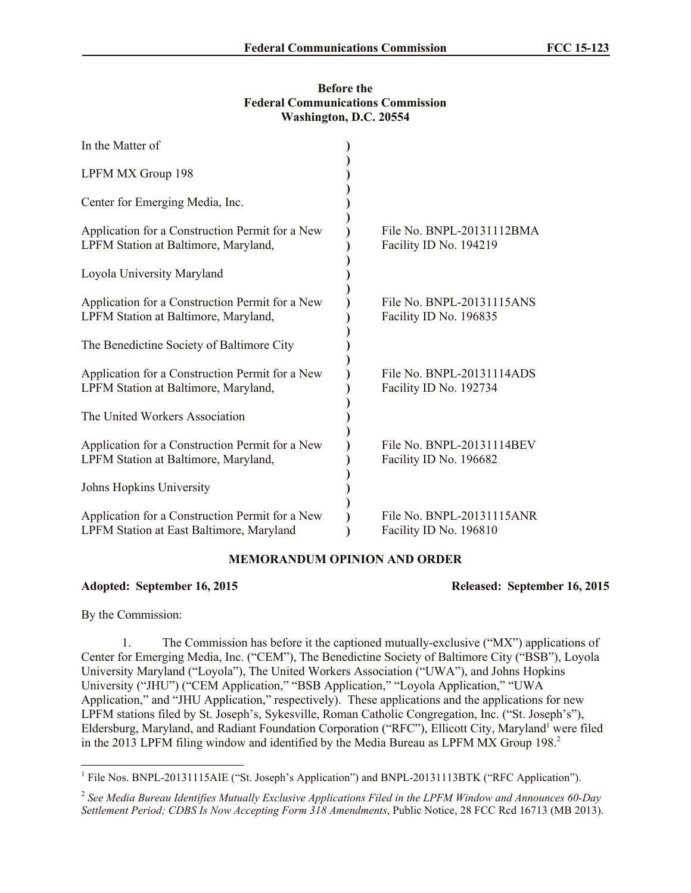## **Before the Federal Communications Commission Washington, D.C. 20554**

| In the Matter of                                                                            |                                                     |
|---------------------------------------------------------------------------------------------|-----------------------------------------------------|
| LPFM MX Group 198                                                                           |                                                     |
| Center for Emerging Media, Inc.                                                             |                                                     |
| Application for a Construction Permit for a New<br>LPFM Station at Baltimore, Maryland,     | File No. BNPL-20131112BMA<br>Facility ID No. 194219 |
| Loyola University Maryland                                                                  |                                                     |
| Application for a Construction Permit for a New<br>LPFM Station at Baltimore, Maryland,     | File No. BNPL-20131115ANS<br>Facility ID No. 196835 |
| The Benedictine Society of Baltimore City                                                   |                                                     |
| Application for a Construction Permit for a New<br>LPFM Station at Baltimore, Maryland,     | File No. BNPL-20131114ADS<br>Facility ID No. 192734 |
| The United Workers Association                                                              |                                                     |
| Application for a Construction Permit for a New<br>LPFM Station at Baltimore, Maryland,     | File No. BNPL-20131114BEV<br>Facility ID No. 196682 |
| Johns Hopkins University                                                                    |                                                     |
| Application for a Construction Permit for a New<br>LPFM Station at East Baltimore, Maryland | File No. BNPL-20131115ANR<br>Facility ID No. 196810 |

## **MEMORANDUM OPINION AND ORDER**

**Adopted: September 16, 2015 Released: September 16, 2015**

By the Commission:

1. The Commission has before it the captioned mutually-exclusive ("MX") applications of Center for Emerging Media, Inc. ("CEM"), The Benedictine Society of Baltimore City ("BSB"), Loyola University Maryland ("Loyola"), The United Workers Association ("UWA"), and Johns Hopkins University ("JHU") ("CEM Application," "BSB Application," "Loyola Application," "UWA Application," and "JHU Application," respectively). These applications and the applications for new LPFM stations filed by St. Joseph's, Sykesville, Roman Catholic Congregation, Inc. ("St. Joseph's"), Eldersburg, Maryland, and Radiant Foundation Corporation ("RFC"), Ellicott City, Maryland<sup>1</sup> were filed in the 2013 LPFM filing window and identified by the Media Bureau as LPFM MX Group 198.<sup>2</sup>

 1 File Nos. BNPL-20131115AIE ("St. Joseph's Application") and BNPL-20131113BTK ("RFC Application").

<sup>2</sup> *See Media Bureau Identifies Mutually Exclusive Applications Filed in the LPFM Window and Announces 60-Day Settlement Period; CDBS Is Now Accepting Form 318 Amendments*, Public Notice, 28 FCC Rcd 16713 (MB 2013).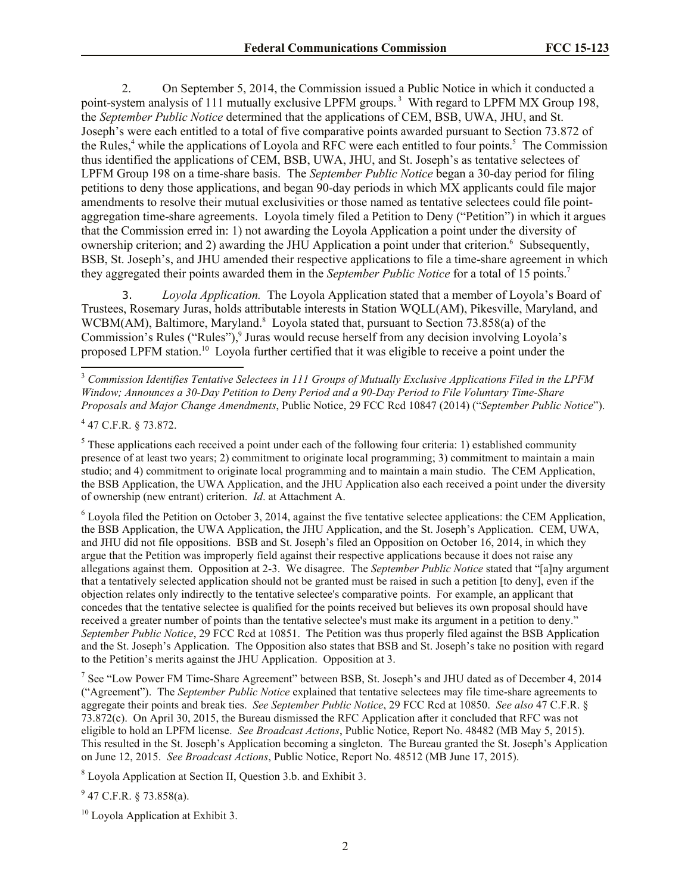2. On September 5, 2014, the Commission issued a Public Notice in which it conducted a point-system analysis of 111 mutually exclusive LPFM groups.<sup>3</sup> With regard to LPFM MX Group 198, the *September Public Notice* determined that the applications of CEM, BSB, UWA, JHU, and St. Joseph's were each entitled to a total of five comparative points awarded pursuant to Section 73.872 of the Rules,<sup>4</sup> while the applications of Loyola and RFC were each entitled to four points.<sup>5</sup> The Commission thus identified the applications of CEM, BSB, UWA, JHU, and St. Joseph's as tentative selectees of LPFM Group 198 on a time-share basis. The *September Public Notice* began a 30-day period for filing petitions to deny those applications, and began 90-day periods in which MX applicants could file major amendments to resolve their mutual exclusivities or those named as tentative selectees could file pointaggregation time-share agreements. Loyola timely filed a Petition to Deny ("Petition") in which it argues that the Commission erred in: 1) not awarding the Loyola Application a point under the diversity of ownership criterion; and 2) awarding the JHU Application a point under that criterion.<sup>6</sup> Subsequently, BSB, St. Joseph's, and JHU amended their respective applications to file a time-share agreement in which they aggregated their points awarded them in the *September Public Notice* for a total of 15 points.<sup>7</sup>

3. *Loyola Application.* The Loyola Application stated that a member of Loyola's Board of Trustees, Rosemary Juras, holds attributable interests in Station WQLL(AM), Pikesville, Maryland, and WCBM(AM), Baltimore, Maryland.<sup>8</sup> Loyola stated that, pursuant to Section 73.858(a) of the Commission's Rules ("Rules"),<sup>9</sup> Juras would recuse herself from any decision involving Loyola's proposed LPFM station.<sup>10</sup> Loyola further certified that it was eligible to receive a point under the

4 47 C.F.R. § 73.872.

 $\overline{\phantom{a}}$ 

<sup>5</sup> These applications each received a point under each of the following four criteria: 1) established community presence of at least two years; 2) commitment to originate local programming; 3) commitment to maintain a main studio; and 4) commitment to originate local programming and to maintain a main studio. The CEM Application, the BSB Application, the UWA Application, and the JHU Application also each received a point under the diversity of ownership (new entrant) criterion. *Id*. at Attachment A.

<sup>6</sup> Loyola filed the Petition on October 3, 2014, against the five tentative selectee applications: the CEM Application, the BSB Application, the UWA Application, the JHU Application, and the St. Joseph's Application. CEM, UWA, and JHU did not file oppositions. BSB and St. Joseph's filed an Opposition on October 16, 2014, in which they argue that the Petition was improperly field against their respective applications because it does not raise any allegations against them. Opposition at 2-3. We disagree. The *September Public Notice* stated that "[a]ny argument that a tentatively selected application should not be granted must be raised in such a petition [to deny], even if the objection relates only indirectly to the tentative selectee's comparative points. For example, an applicant that concedes that the tentative selectee is qualified for the points received but believes its own proposal should have received a greater number of points than the tentative selectee's must make its argument in a petition to deny." *September Public Notice*, 29 FCC Rcd at 10851. The Petition was thus properly filed against the BSB Application and the St. Joseph's Application. The Opposition also states that BSB and St. Joseph's take no position with regard to the Petition's merits against the JHU Application. Opposition at 3.

<sup>7</sup> See "Low Power FM Time-Share Agreement" between BSB, St. Joseph's and JHU dated as of December 4, 2014 ("Agreement"). The *September Public Notice* explained that tentative selectees may file time-share agreements to aggregate their points and break ties. *See September Public Notice*, 29 FCC Rcd at 10850. *See also* 47 C.F.R. § 73.872(c). On April 30, 2015, the Bureau dismissed the RFC Application after it concluded that RFC was not eligible to hold an LPFM license. *See Broadcast Actions*, Public Notice, Report No. 48482 (MB May 5, 2015). This resulted in the St. Joseph's Application becoming a singleton. The Bureau granted the St. Joseph's Application on June 12, 2015. *See Broadcast Actions*, Public Notice, Report No. 48512 (MB June 17, 2015).

<sup>8</sup> Loyola Application at Section II, Question 3.b. and Exhibit 3.

 $9$  47 C.F.R. § 73.858(a).

 $10$  Loyola Application at Exhibit 3.

<sup>3</sup> *Commission Identifies Tentative Selectees in 111 Groups of Mutually Exclusive Applications Filed in the LPFM Window; Announces a 30-Day Petition to Deny Period and a 90-Day Period to File Voluntary Time-Share Proposals and Major Change Amendments*, Public Notice, 29 FCC Rcd 10847 (2014) ("*September Public Notice*").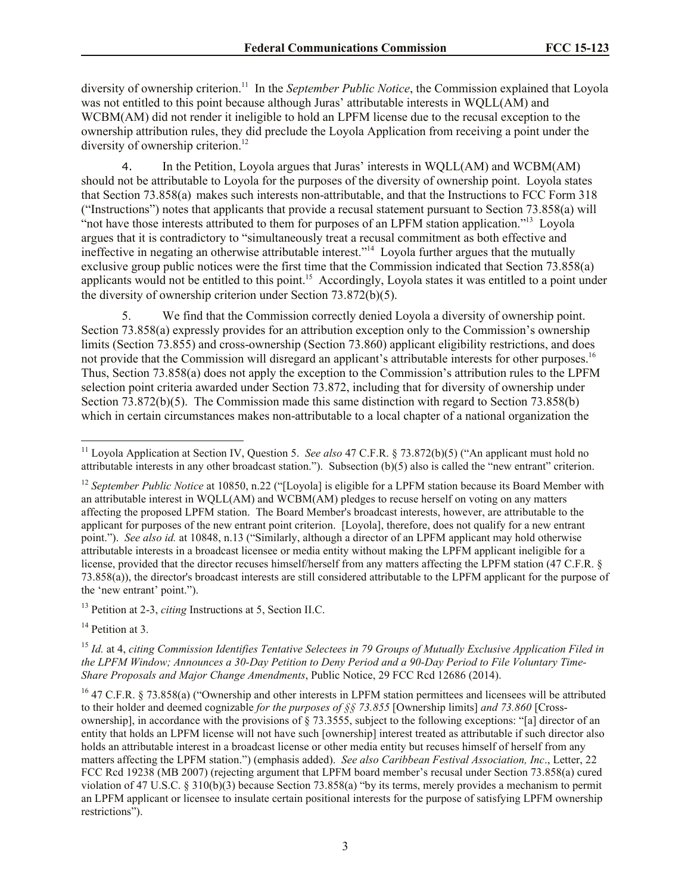diversity of ownership criterion.<sup>11</sup> In the *September Public Notice*, the Commission explained that Loyola was not entitled to this point because although Juras' attributable interests in WQLL(AM) and WCBM(AM) did not render it ineligible to hold an LPFM license due to the recusal exception to the ownership attribution rules, they did preclude the Loyola Application from receiving a point under the diversity of ownership criterion. 12

4. In the Petition, Loyola argues that Juras' interests in WQLL(AM) and WCBM(AM) should not be attributable to Loyola for the purposes of the diversity of ownership point. Loyola states that Section 73.858(a) makes such interests non-attributable, and that the Instructions to FCC Form 318 ("Instructions") notes that applicants that provide a recusal statement pursuant to Section 73.858(a) will "not have those interests attributed to them for purposes of an LPFM station application."<sup>13</sup> Loyola argues that it is contradictory to "simultaneously treat a recusal commitment as both effective and ineffective in negating an otherwise attributable interest."<sup>14</sup> Loyola further argues that the mutually exclusive group public notices were the first time that the Commission indicated that Section 73.858(a) applicants would not be entitled to this point.<sup>15</sup> Accordingly, Loyola states it was entitled to a point under the diversity of ownership criterion under Section 73.872(b)(5).

5. We find that the Commission correctly denied Loyola a diversity of ownership point. Section 73.858(a) expressly provides for an attribution exception only to the Commission's ownership limits (Section 73.855) and cross-ownership (Section 73.860) applicant eligibility restrictions, and does not provide that the Commission will disregard an applicant's attributable interests for other purposes.<sup>16</sup> Thus, Section 73.858(a) does not apply the exception to the Commission's attribution rules to the LPFM selection point criteria awarded under Section 73.872, including that for diversity of ownership under Section 73.872(b)(5). The Commission made this same distinction with regard to Section 73.858(b) which in certain circumstances makes non-attributable to a local chapter of a national organization the

<sup>13</sup> Petition at 2-3, *citing* Instructions at 5, Section II.C.

 $14$  Petition at 3.

l <sup>11</sup> Loyola Application at Section IV, Question 5. *See also* 47 C.F.R. § 73.872(b)(5) ("An applicant must hold no attributable interests in any other broadcast station."). Subsection  $(b)(5)$  also is called the "new entrant" criterion.

<sup>&</sup>lt;sup>12</sup> September Public Notice at 10850, n.22 ("[Loyola] is eligible for a LPFM station because its Board Member with an attributable interest in WQLL(AM) and WCBM(AM) pledges to recuse herself on voting on any matters affecting the proposed LPFM station. The Board Member's broadcast interests, however, are attributable to the applicant for purposes of the new entrant point criterion. [Loyola], therefore, does not qualify for a new entrant point."). *See also id.* at 10848, n.13 ("Similarly, although a director of an LPFM applicant may hold otherwise attributable interests in a broadcast licensee or media entity without making the LPFM applicant ineligible for a license, provided that the director recuses himself/herself from any matters affecting the LPFM station (47 C.F.R. § 73.858(a)), the director's broadcast interests are still considered attributable to the LPFM applicant for the purpose of the 'new entrant' point.").

<sup>15</sup> *Id.* at 4, *citing Commission Identifies Tentative Selectees in 79 Groups of Mutually Exclusive Application Filed in the LPFM Window; Announces a 30-Day Petition to Deny Period and a 90-Day Period to File Voluntary Time-Share Proposals and Major Change Amendments*, Public Notice, 29 FCC Rcd 12686 (2014).

<sup>&</sup>lt;sup>16</sup> 47 C.F.R. § 73.858(a) ("Ownership and other interests in LPFM station permittees and licensees will be attributed to their holder and deemed cognizable *for the purposes of §§ 73.855* [Ownership limits] *and 73.860* [Crossownership], in accordance with the provisions of § 73.3555, subject to the following exceptions: "[a] director of an entity that holds an LPFM license will not have such [ownership] interest treated as attributable if such director also holds an attributable interest in a broadcast license or other media entity but recuses himself of herself from any matters affecting the LPFM station.") (emphasis added). *See also Caribbean Festival Association, Inc*., Letter, 22 FCC Rcd 19238 (MB 2007) (rejecting argument that LPFM board member's recusal under Section 73.858(a) cured violation of 47 U.S.C. § 310(b)(3) because Section 73.858(a) "by its terms, merely provides a mechanism to permit an LPFM applicant or licensee to insulate certain positional interests for the purpose of satisfying LPFM ownership restrictions").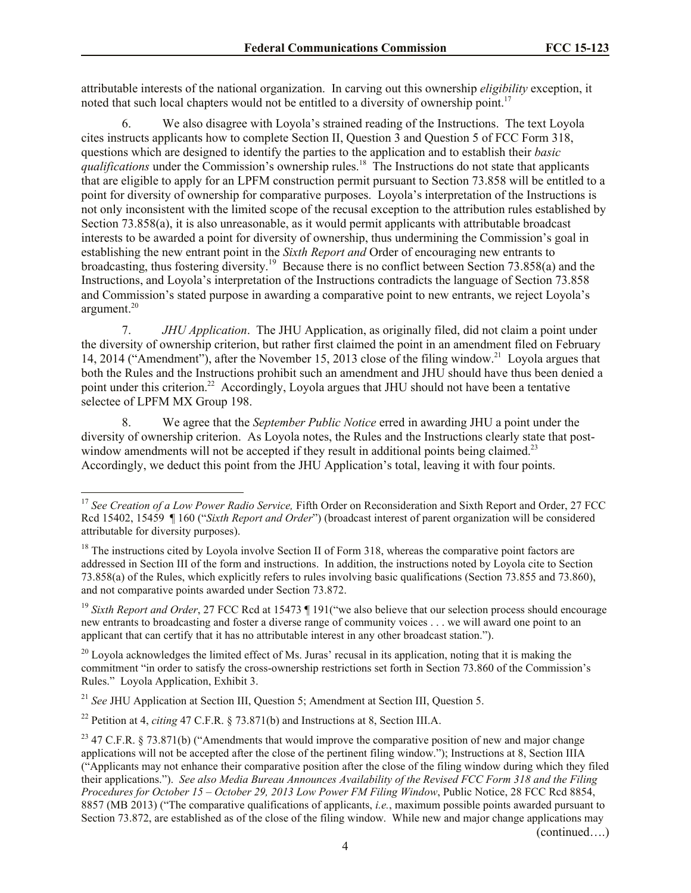attributable interests of the national organization. In carving out this ownership *eligibility* exception, it noted that such local chapters would not be entitled to a diversity of ownership point.<sup>17</sup>

6. We also disagree with Loyola's strained reading of the Instructions. The text Loyola cites instructs applicants how to complete Section II, Question 3 and Question 5 of FCC Form 318, questions which are designed to identify the parties to the application and to establish their *basic qualifications* under the Commission's ownership rules. 18 The Instructions do not state that applicants that are eligible to apply for an LPFM construction permit pursuant to Section 73.858 will be entitled to a point for diversity of ownership for comparative purposes. Loyola's interpretation of the Instructions is not only inconsistent with the limited scope of the recusal exception to the attribution rules established by Section 73.858(a), it is also unreasonable, as it would permit applicants with attributable broadcast interests to be awarded a point for diversity of ownership, thus undermining the Commission's goal in establishing the new entrant point in the *Sixth Report and* Order of encouraging new entrants to broadcasting, thus fostering diversity.<sup>19</sup> Because there is no conflict between Section 73.858(a) and the Instructions, and Loyola's interpretation of the Instructions contradicts the language of Section 73.858 and Commission's stated purpose in awarding a comparative point to new entrants, we reject Loyola's argument. 20

7. *JHU Application*. The JHU Application, as originally filed, did not claim a point under the diversity of ownership criterion, but rather first claimed the point in an amendment filed on February 14, 2014 ("Amendment"), after the November 15, 2013 close of the filing window.<sup>21</sup> Loyola argues that both the Rules and the Instructions prohibit such an amendment and JHU should have thus been denied a point under this criterion.<sup>22</sup> Accordingly, Loyola argues that JHU should not have been a tentative selectee of LPFM MX Group 198.

8. We agree that the *September Public Notice* erred in awarding JHU a point under the diversity of ownership criterion. As Loyola notes, the Rules and the Instructions clearly state that postwindow amendments will not be accepted if they result in additional points being claimed.<sup>23</sup> Accordingly, we deduct this point from the JHU Application's total, leaving it with four points.

 $\overline{\phantom{a}}$ 

(continued….)

<sup>&</sup>lt;sup>17</sup> See Creation of a Low Power Radio Service. Fifth Order on Reconsideration and Sixth Report and Order, 27 FCC Rcd 15402, 15459 ¶ 160 ("*Sixth Report and Order*") (broadcast interest of parent organization will be considered attributable for diversity purposes).

<sup>&</sup>lt;sup>18</sup> The instructions cited by Loyola involve Section II of Form 318, whereas the comparative point factors are addressed in Section III of the form and instructions. In addition, the instructions noted by Loyola cite to Section 73.858(a) of the Rules, which explicitly refers to rules involving basic qualifications (Section 73.855 and 73.860), and not comparative points awarded under Section 73.872.

<sup>&</sup>lt;sup>19</sup> Sixth Report and Order, 27 FCC Rcd at 15473 ¶ 191("we also believe that our selection process should encourage new entrants to broadcasting and foster a diverse range of community voices . . . we will award one point to an applicant that can certify that it has no attributable interest in any other broadcast station.").

 $^{20}$  Loyola acknowledges the limited effect of Ms. Juras' recusal in its application, noting that it is making the commitment "in order to satisfy the cross-ownership restrictions set forth in Section 73.860 of the Commission's Rules." Loyola Application, Exhibit 3.

<sup>21</sup> *See* JHU Application at Section III, Question 5; Amendment at Section III, Question 5.

<sup>22</sup> Petition at 4, *citing* 47 C.F.R. § 73.871(b) and Instructions at 8, Section III.A.

<sup>&</sup>lt;sup>23</sup> 47 C.F.R. § 73.871(b) ("Amendments that would improve the comparative position of new and major change applications will not be accepted after the close of the pertinent filing window."); Instructions at 8, Section IIIA ("Applicants may not enhance their comparative position after the close of the filing window during which they filed their applications."). *See also Media Bureau Announces Availability of the Revised FCC Form 318 and the Filing Procedures for October 15 – October 29, 2013 Low Power FM Filing Window*, Public Notice, 28 FCC Rcd 8854, 8857 (MB 2013) ("The comparative qualifications of applicants, *i.e.*, maximum possible points awarded pursuant to Section 73.872, are established as of the close of the filing window. While new and major change applications may